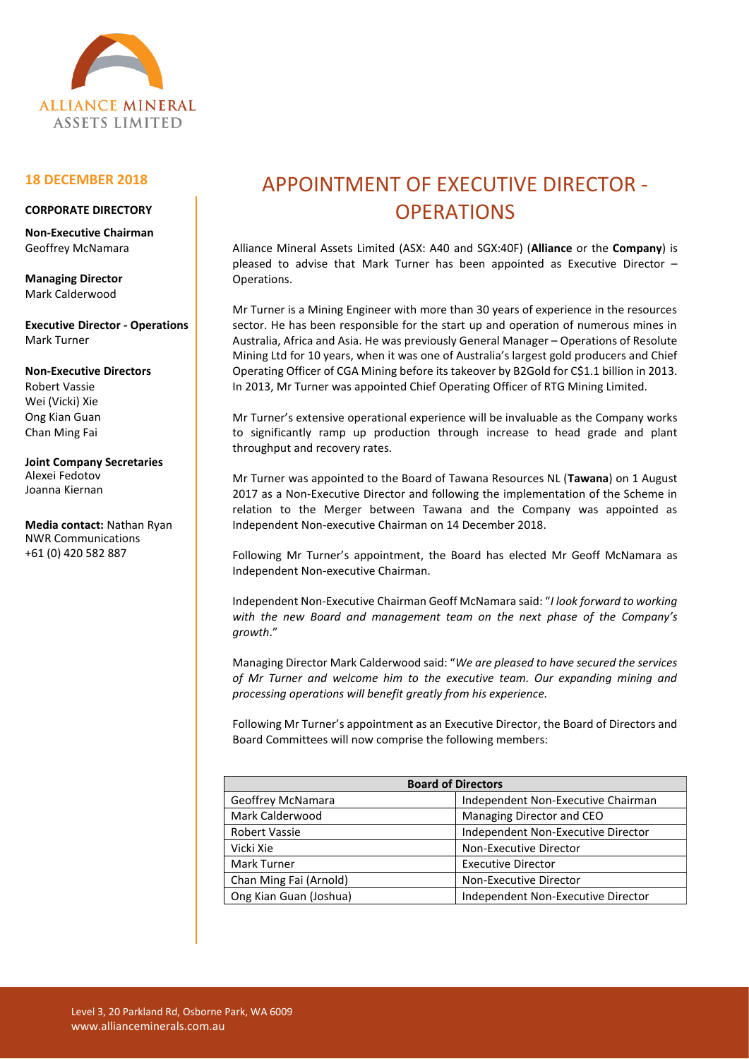

## **18 DECEMBER 2018**

## **CORPORATE DIRECTORY**

**Non-Executive Chairman** Geoffrey McNamara

**Managing Director** Mark Calderwood

**Executive Director - Operations** Mark Turner

**Non-Executive Directors** Robert Vassie Wei (Vicki) Xie Ong Kian Guan Chan Ming Fai

**Joint Company Secretaries** Alexei Fedotov Joanna Kiernan

**Media contact:** Nathan Ryan NWR Communications +61 (0) 420 582 887

## APPOINTMENT OF EXECUTIVE DIRECTOR - **OPERATIONS**

Alliance Mineral Assets Limited (ASX: A40 and SGX:40F) (**Alliance** or the **Company**) is pleased to advise that Mark Turner has been appointed as Executive Director – Operations.

Mr Turner is a Mining Engineer with more than 30 years of experience in the resources sector. He has been responsible for the start up and operation of numerous mines in Australia, Africa and Asia. He was previously General Manager – Operations of Resolute Mining Ltd for 10 years, when it was one of Australia's largest gold producers and Chief Operating Officer of CGA Mining before its takeover by B2Gold for C\$1.1 billion in 2013. In 2013, Mr Turner was appointed Chief Operating Officer of RTG Mining Limited.

Mr Turner's extensive operational experience will be invaluable as the Company works to significantly ramp up production through increase to head grade and plant throughput and recovery rates.

Mr Turner was appointed to the Board of Tawana Resources NL (**Tawana**) on 1 August 2017 as a Non-Executive Director and following the implementation of the Scheme in relation to the Merger between Tawana and the Company was appointed as Independent Non-executive Chairman on 14 December 2018.

Following Mr Turner's appointment, the Board has elected Mr Geoff McNamara as Independent Non-executive Chairman.

Independent Non-Executive Chairman Geoff McNamara said: "*I look forward to working with the new Board and management team on the next phase of the Company's growth*."

Managing Director Mark Calderwood said: "*We are pleased to have secured the services of Mr Turner and welcome him to the executive team. Our expanding mining and processing operations will benefit greatly from his experience.*

Following Mr Turner's appointment as an Executive Director, the Board of Directors and Board Committees will now comprise the following members:

| <b>Board of Directors</b> |                                    |
|---------------------------|------------------------------------|
| Geoffrey McNamara         | Independent Non-Executive Chairman |
| Mark Calderwood           | Managing Director and CEO          |
| <b>Robert Vassie</b>      | Independent Non-Executive Director |
| Vicki Xie                 | Non-Executive Director             |
| Mark Turner               | <b>Executive Director</b>          |
| Chan Ming Fai (Arnold)    | Non-Executive Director             |
| Ong Kian Guan (Joshua)    | Independent Non-Executive Director |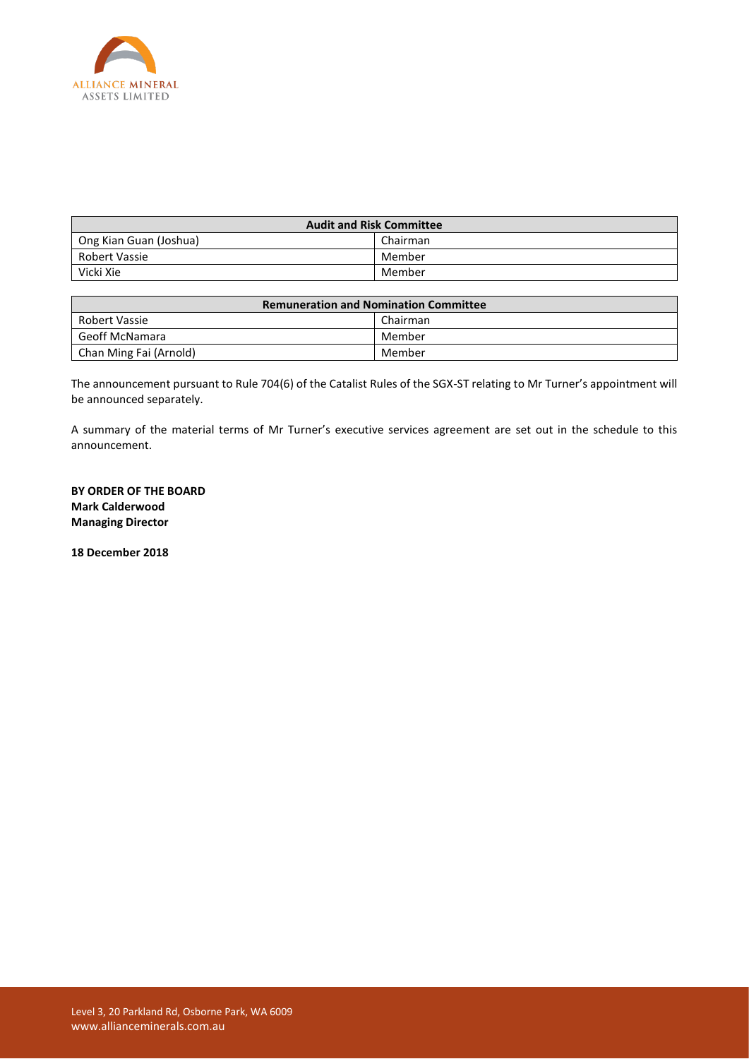

| <b>Audit and Risk Committee</b> |          |  |
|---------------------------------|----------|--|
| Ong Kian Guan (Joshua)          | Chairman |  |
| Robert Vassie                   | Member   |  |
| Vicki Xie                       | Member   |  |

| <b>Remuneration and Nomination Committee</b> |          |  |
|----------------------------------------------|----------|--|
| Robert Vassie                                | Chairman |  |
| Geoff McNamara                               | Member   |  |
| Chan Ming Fai (Arnold)                       | Member   |  |

The announcement pursuant to Rule 704(6) of the Catalist Rules of the SGX-ST relating to Mr Turner's appointment will be announced separately.

A summary of the material terms of Mr Turner's executive services agreement are set out in the schedule to this announcement.

**BY ORDER OF THE BOARD Mark Calderwood Managing Director**

**18 December 2018**